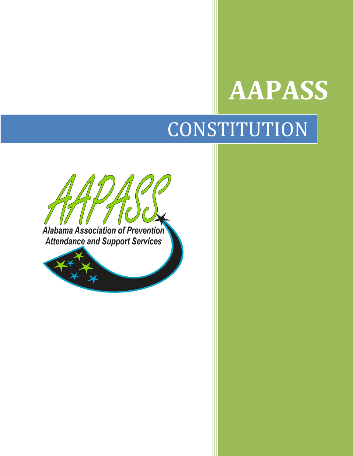# **AAPASS**

# **CONSTITUTION**



Alabama Association of Prevention **Attendance and Support Services** 

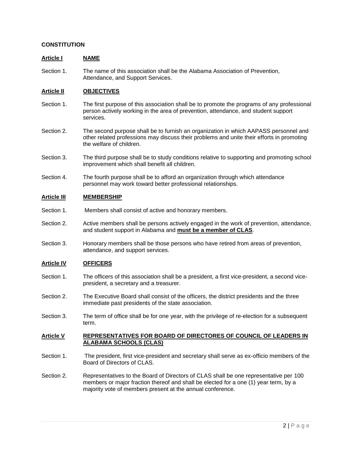#### **CONSTITUTION**

#### **Article I NAME**

Section 1. The name of this association shall be the Alabama Association of Prevention, Attendance, and Support Services.

## **Article II OBJECTIVES**

- Section 1. The first purpose of this association shall be to promote the programs of any professional person actively working in the area of prevention, attendance, and student support services.
- Section 2. The second purpose shall be to furnish an organization in which AAPASS personnel and other related professions may discuss their problems and unite their efforts in promoting the welfare of children.
- Section 3. The third purpose shall be to study conditions relative to supporting and promoting school improvement which shall benefit all children.
- Section 4. The fourth purpose shall be to afford an organization through which attendance personnel may work toward better professional relationships.

#### **Article III MEMBERSHIP**

- Section 1. Members shall consist of active and honorary members.
- Section 2. Active members shall be persons actively engaged in the work of prevention, attendance, and student support in Alabama and **must be a member of CLAS**.
- Section 3. Honorary members shall be those persons who have retired from areas of prevention, attendance, and support services.

#### **Article IV OFFICERS**

- Section 1. The officers of this association shall be a president, a first vice-president, a second vicepresident, a secretary and a treasurer.
- Section 2. The Executive Board shall consist of the officers, the district presidents and the three immediate past presidents of the state association.
- Section 3. The term of office shall be for one year, with the privilege of re-election for a subsequent term.

#### **Article V REPRESENTATIVES FOR BOARD OF DIRECTORES OF COUNCIL OF LEADERS IN ALABAMA SCHOOLS (CLAS)**

- Section 1. The president, first vice-president and secretary shall serve as ex-officio members of the Board of Directors of CLAS.
- Section 2. Representatives to the Board of Directors of CLAS shall be one representative per 100 members or major fraction thereof and shall be elected for a one (1) year term, by a majority vote of members present at the annual conference.